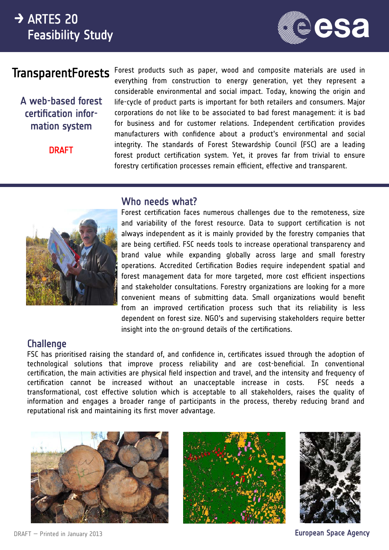# $\rightarrow$  ARTES 20 Feasibility Study



# **TransparentForests**

A web-based forest certification information system

**DRAFT** 

Forest products such as paper, wood and composite materials are used in everything from construction to energy generation, yet they represent a considerable environmental and social impact. Today, knowing the origin and life-cycle of product parts is important for both retailers and consumers. Major corporations do not like to be associated to bad forest management: it is bad for business and for customer relations. Independent certification provides manufacturers with confidence about a product's environmental and social integrity. The standards of Forest Stewardship Council (FSC) are a leading forest product certification system. Yet, it proves far from trivial to ensure forestry certification processes remain efficient, effective and transparent.



#### Who needs what?

Forest certification faces numerous challenges due to the remoteness, size and variability of the forest resource. Data to support certification is not always independent as it is mainly provided by the forestry companies that are being certified. FSC needs tools to increase operational transparency and brand value while expanding globally across large and small forestry operations. Accredited Certification Bodies require independent spatial and forest management data for more targeted, more cost efficient inspections and stakeholder consultations. Forestry organizations are looking for a more convenient means of submitting data. Small organizations would benefit from an improved certification process such that its reliability is less dependent on forest size. NGO's and supervising stakeholders require better insight into the on-ground details of the certifications.

#### **Challenge**

FSC has prioritised raising the standard of, and confidence in, certificates issued through the adoption of technological solutions that improve process reliability and are cost-beneficial. In conventional certification, the main activities are physical field inspection and travel, and the intensity and frequency of certification cannot be increased without an unacceptable increase in costs. FSC needs a transformational, cost effective solution which is acceptable to all stakeholders, raises the quality of information and engages a broader range of participants in the process, thereby reducing brand and reputational risk and maintaining its first mover advantage.







European Space Agency